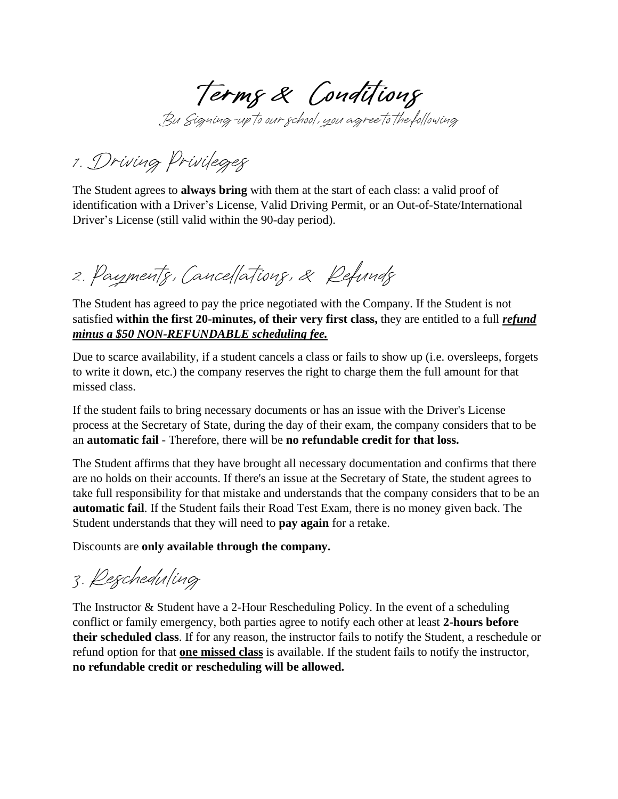Terms & Conditions

Bu Signing-up to our school, you agree to the following

1. Driving Privileges

The Student agrees to **always bring** with them at the start of each class: a valid proof of identification with a Driver's License, Valid Driving Permit, or an Out-of-State/International Driver's License (still valid within the 90-day period).

2. Payments, Cancellations, & Refunds

The Student has agreed to pay the price negotiated with the Company. If the Student is not satisfied **within the first 20-minutes, of their very first class,** they are entitled to a full *refund minus a \$50 NON-REFUNDABLE scheduling fee.*

Due to scarce availability, if a student cancels a class or fails to show up (i.e. oversleeps, forgets to write it down, etc.) the company reserves the right to charge them the full amount for that missed class.

If the student fails to bring necessary documents or has an issue with the Driver's License process at the Secretary of State, during the day of their exam, the company considers that to be an **automatic fail** - Therefore, there will be **no refundable credit for that loss.**

The Student affirms that they have brought all necessary documentation and confirms that there are no holds on their accounts. If there's an issue at the Secretary of State, the student agrees to take full responsibility for that mistake and understands that the company considers that to be an **automatic fail**. If the Student fails their Road Test Exam, there is no money given back. The Student understands that they will need to **pay again** for a retake.

Discounts are **only available through the company.**

3. Rescheduling

The Instructor & Student have a 2-Hour Rescheduling Policy. In the event of a scheduling conflict or family emergency, both parties agree to notify each other at least **2-hours before their scheduled class**. If for any reason, the instructor fails to notify the Student, a reschedule or refund option for that **one missed class** is available. If the student fails to notify the instructor, **no refundable credit or rescheduling will be allowed.**